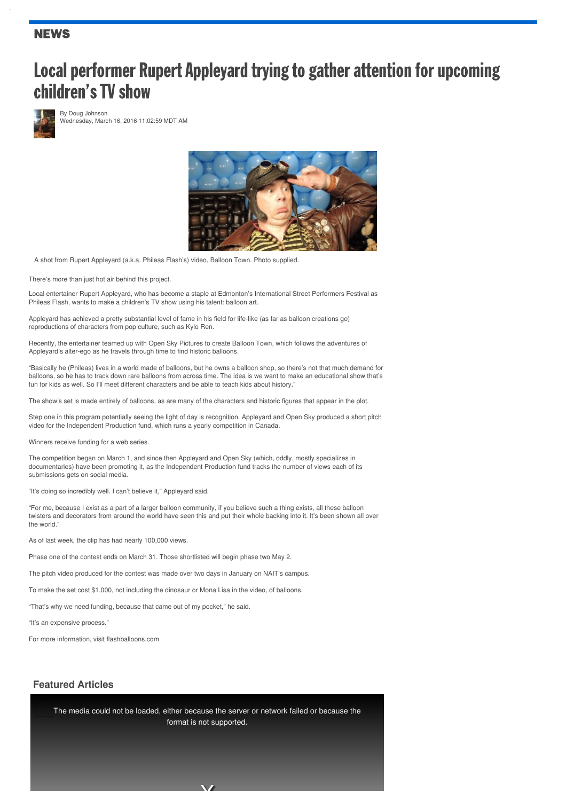### **NEWS**

# Local performer Rupert Appleyard trying to gather attention for upcoming children's TV show



By Doug [Johnson](http://www.edmontonexaminer.com/author/doug-johnson) Wednesday, March 16, 2016 11:02:59 MDT AM



A shot from Rupert Appleyard (a.k.a. Phileas Flash's) video, Balloon Town. Photo supplied.

There's more than just hot air behind this project.

Local entertainer Rupert Appleyard, who has become a staple at Edmonton's International Street Performers Festival as Phileas Flash, wants to make a children's TV show using his talent: balloon art.

Appleyard has achieved a pretty substantial level of fame in his field for life-like (as far as balloon creations go) reproductions of characters from pop culture, such as Kylo Ren.

Recently, the entertainer teamed up with Open Sky Pictures to create Balloon Town, which follows the adventures of Appleyard's alter-ego as he travels through time to find historic balloons.

"Basically he (Phileas) lives in a world made of balloons, but he owns a balloon shop, so there's not that much demand for balloons, so he has to track down rare balloons from across time. The idea is we want to make an educational show that's fun for kids as well. So I'll meet different characters and be able to teach kids about history.

The show's set is made entirely of balloons, as are many of the characters and historic figures that appear in the plot.

Step one in this program potentially seeing the light of day is recognition. Appleyard and Open Sky produced a short pitch video for the Independent Production fund, which runs a yearly competition in Canada.

Winners receive funding for a web series.

The competition began on March 1, and since then Appleyard and Open Sky (which, oddly, mostly specializes in documentaries) have been promoting it, as the Independent Production fund tracks the number of views each of its submissions gets on social media.

"It's doing so incredibly well. I can't believe it," Appleyard said.

"For me, because I exist as a part of a larger balloon community, if you believe such a thing exists, all these balloon twisters and decorators from around the world have seen this and put their whole backing into it. It's been shown all over the world."

As of last week, the clip has had nearly 100,000 views.

Phase one of the contest ends on March 31. Those shortlisted will begin phase two May 2.

The pitch video produced for the contest was made over two days in January on NAIT's campus.

To make the set cost \$1,000, not including the dinosaur or Mona Lisa in the video, of balloons.

"That's why we need funding, because that came out of my pocket," he said.

"It's an expensive process."

For more information, visit [flashballoons.com](http://flashballoons.com/)

#### **Featured Articles**

The media could not be loaded, either because the server or network failed or because the format is not supported.

 $\mathbf{V}$